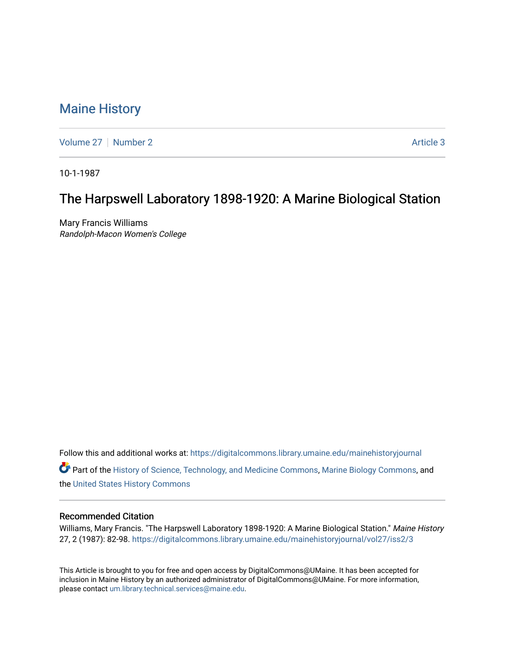# [Maine History](https://digitalcommons.library.umaine.edu/mainehistoryjournal)

[Volume 27](https://digitalcommons.library.umaine.edu/mainehistoryjournal/vol27) | [Number 2](https://digitalcommons.library.umaine.edu/mainehistoryjournal/vol27/iss2) Article 3

10-1-1987

# The Harpswell Laboratory 1898-1920: A Marine Biological Station

Mary Francis Williams Randolph-Macon Women's College

Follow this and additional works at: [https://digitalcommons.library.umaine.edu/mainehistoryjournal](https://digitalcommons.library.umaine.edu/mainehistoryjournal?utm_source=digitalcommons.library.umaine.edu%2Fmainehistoryjournal%2Fvol27%2Fiss2%2F3&utm_medium=PDF&utm_campaign=PDFCoverPages) 

Part of the [History of Science, Technology, and Medicine Commons,](http://network.bepress.com/hgg/discipline/500?utm_source=digitalcommons.library.umaine.edu%2Fmainehistoryjournal%2Fvol27%2Fiss2%2F3&utm_medium=PDF&utm_campaign=PDFCoverPages) [Marine Biology Commons](http://network.bepress.com/hgg/discipline/1126?utm_source=digitalcommons.library.umaine.edu%2Fmainehistoryjournal%2Fvol27%2Fiss2%2F3&utm_medium=PDF&utm_campaign=PDFCoverPages), and the [United States History Commons](http://network.bepress.com/hgg/discipline/495?utm_source=digitalcommons.library.umaine.edu%2Fmainehistoryjournal%2Fvol27%2Fiss2%2F3&utm_medium=PDF&utm_campaign=PDFCoverPages) 

### Recommended Citation

Williams, Mary Francis. "The Harpswell Laboratory 1898-1920: A Marine Biological Station." Maine History 27, 2 (1987): 82-98. [https://digitalcommons.library.umaine.edu/mainehistoryjournal/vol27/iss2/3](https://digitalcommons.library.umaine.edu/mainehistoryjournal/vol27/iss2/3?utm_source=digitalcommons.library.umaine.edu%2Fmainehistoryjournal%2Fvol27%2Fiss2%2F3&utm_medium=PDF&utm_campaign=PDFCoverPages)

This Article is brought to you for free and open access by DigitalCommons@UMaine. It has been accepted for inclusion in Maine History by an authorized administrator of DigitalCommons@UMaine. For more information, please contact [um.library.technical.services@maine.edu.](mailto:um.library.technical.services@maine.edu)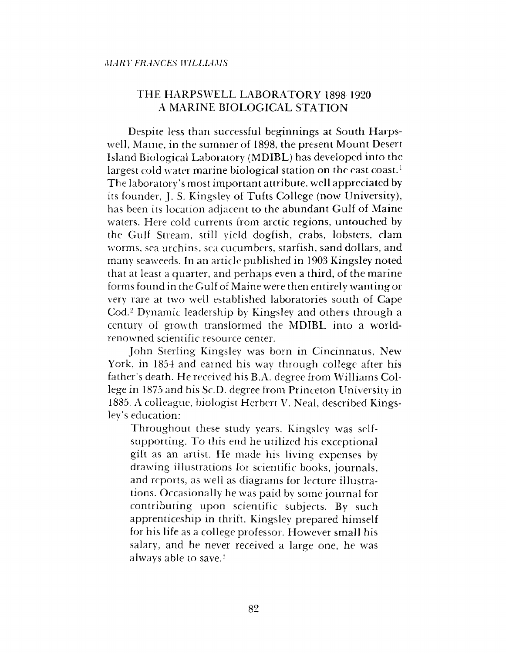## THE HARPSWELL LABORATORY 1898-1920 A MARINE BIOLOGICAL STATION

Despite less than successful beginnings at South Harpswell, Maine, in the summer of 1898, the present Mount Desert Island Biological Laboratory (MDIBL) has developed into the largest cold water marine biological station on the east coast.<sup>1</sup> The laboratory's most important attribute, well appreciated by its founder, J. S. Kingsley of Tufts College (now University), has been its location adjacent to the abundant Gulf of Maine waters. Here cold currents from arctic regions, untouched by the Gulf Stream, still yield dogfish, crabs, lobsters, clam worms, sea urchins, sea cucumbers, starfish, sand dollars, and many seaweeds. In an article published in 1903 Kingsley noted that at least a quarter, and perhaps even a third, of the marine forms found in the Gulf of Maine were then entirely wanting or very rare at two well established laboratories south of Cape Cod.2 Dynamic leadership by Kingsley and others through a century of growth transformed the MDIBL into a worldrenowned scientific resource center.

John Sterling Kingsley was born in Cincinnatus, New York, in 1854 and earned his way through college after his father's death. He received his B.A. degree from Williams College in 1875 and his Sc.D. degree from Princeton University in 1885. A colleague, biologist Herbert V. Neal, described Kingsley's education;

Throughout these study years, Kingsley was selfsupporting. To this end he utilized his exceptional gift as an artist. He made his living expenses by drawing illustrations for scientific books, journals, and reports, as well as diagrams for lecture illustrations. Occasionally he was paid by some journal for contributing upon scientific subjects. By such apprenticeship in thrift, Kingsley prepared himself for his life as a college professor. However small his salary, and he never received a large one, he was always able to save.3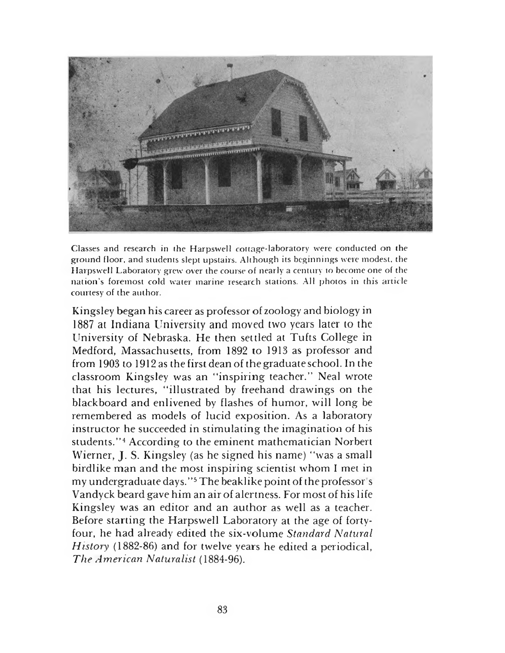

Classes and research in the Harpswell cottage-laboratory were conducted on the ground floor, and students slept upstairs. Although its beginnings were modest, the Harpswell Laboratory grew over the course of nearly a century to become one of the nation's foremost cold water marine research stations. All photos in this article courtesy of the author.

Kingsley began his career as professor of zoology and biology in 1887 at Indiana University and moved two years later to the University of Nebraska. He then settled at Tufts College in Medford, Massachusetts, from 1892 to 1913 as professor and from 1903 to 1912 as the first dean of the graduate school. In the classroom Kingsley was an "inspiring teacher." Neal wrote that his lectures, "illustrated by freehand drawings on the blackboard and enlivened by flashes of humor, will long be remembered as models of lucid exposition. As a laboratory instructor he succeeded in stimulating the imagination of his students."<sup>4</sup> According to the eminent mathematician Norbert Wierner, J. S. Kingsley (as he signed his name) "was a small birdlike man and the most inspiring scientist whom I met in my undergraduate days."<sup>5</sup> The beaklike point of the professor's Vandyck beard gave him an air of alertness. For most of his life Kingsley was an editor and an author as well as a teacher. Before starting the Harpswell Laboratory at the age of fortyfour, he had already edited the six-volume *Standard Natural History* (1882-86) and for twelve years he edited a periodical, *The American Naturalist* (1884-96).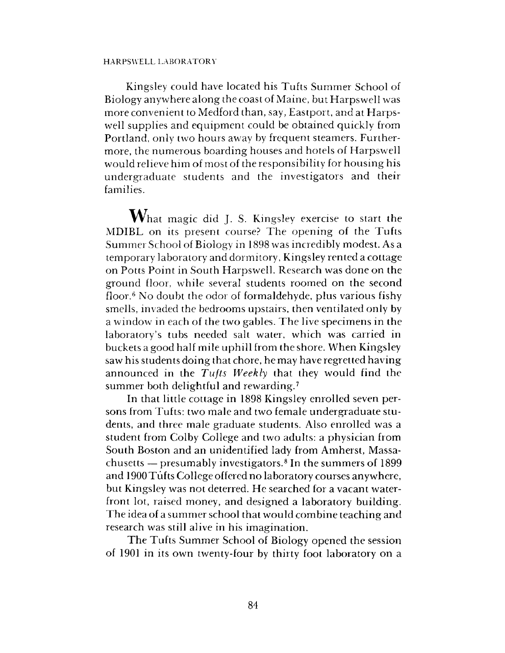### HARPSWELL LABORATORY

Kingsley could have located his Tufts Summer School of Biology anywhere along the coast of Maine, but Harpswell was more convenient to Medford than, say, Eastport, and at Harpswell supplies and equipment could be obtained quickly from Portland, only two hours away by frequent steamers. Furthermore, the numerous boarding houses and hotels of Harpswell would relieve him of most of the responsibility for housing his undergraduate students and the investigators and their families.

 $\mathbf{W}_{\text{hat magic}}$  did J. S. Kingsley exercise to start the MDIBL on its present course? The opening of the Tufts Summer School of Biology in 1898 was incredibly modest. As a temporary laboratory and dormitory, Kingsley rented a cottage on Potts Point in South Harpswell. Research was done on the ground floor, while several students roomed on the second floor.6 No doubt the odor of formaldehyde, plus various fishy smells, invaded the bedrooms upstairs, then ventilated only by a window in each of the two gables. The live specimens in the laboratory's tubs needed salt water, which was carried in buckets a good half mile uphill from the shore. When Kingsley saw his students doing that chore, he may have regretted having announced in the *Tufts Weekly* that they would find the summer both delightful and rewarding.<sup>7</sup>

In that little cottage in 1898 Kingsley enrolled seven persons from Tufts: two male and two female undergraduate students, and three male graduate students. Also enrolled was a student from Colby College and two adults: a physician from South Boston and an unidentified lady from Amherst, Massachusetts — presumably investigators.<sup>8</sup> In the summers of 1899 and 1900 Tufts College offered no laboratory courses anywhere, but Kingsley was not deterred. He searched for a vacant waterfront lot, raised money, and designed a laboratory building. The idea of a summer school that would combine teaching and research was still alive in his imagination.

The Tufts Summer School of Biology opened the session of 1901 in its own twenty-four by thirty foot laboratory on a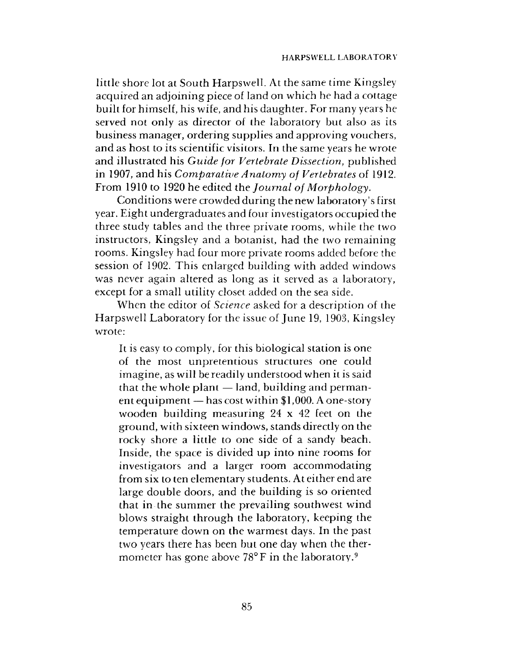little shore lot at South Harpswell. At the same time Kingsley acquired an adjoining piece of land on which he had a cottage built for himself, his wife, and his daughter. For many years he served not only as director of the laboratory but also as its business manager, ordering supplies and approving vouchers, and as host to its scientific visitors. In the same years he wrote and illustrated his *Guide for Vertebrate Dissection,* published in 1907, and his *Comparative Anatomy of Vertebrates* of 1912. From 1910 to 1920 he edited the *Journal of Morphology.*

Conditions were crowded during the new laboratory's first year. Eight undergraduates and four investigators occupied the three study tables and the three private rooms, while the two instructors, Kingsley and a botanist, had the two remaining rooms. Kingsley had four more private rooms added before the session of 1902. This enlarged building with added windows was never again altered as long as it served as a laboratory, except for a small utility closet added on the sea side.

When the editor of *Science* asked for a description of the Harpswell Laboratory for the issue of June 19, 1903, Kingsley wrote:

It is easy to comply, for this biological station is one of the most unpretentious structures one could imagine, as will be readily understood when it is said that the whole plant  $-$  land, building and permanent equipment — has cost within  $1,000$ . A one-story wooden building measuring 24 x 42 feet on the ground, with sixteen windows, stands directly on the rocky shore a little to one side of a sandy beach. Inside, the space is divided up into nine rooms for investigators and a larger room accommodating from six to ten elementary students. At either end are large double doors, and the building is so oriented that in the summer the prevailing southwest wind blows straight through the laboratory, keeping the temperature down on the warmest days. In the past two years there has been but one day when the thermometer has gone above 78°F in the laboratory.<sup>9</sup>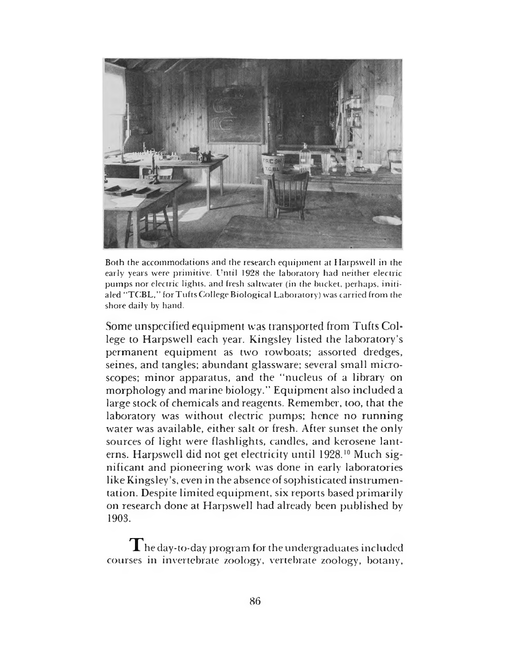

Both the accommodations and the research equipment at Harpswell in the early years were primitive. Until 1928 the laboratory had neither electric pumps nor electric lights, and fresh saltwater (in the bucket, perhaps, initialed "TCBL," for Tufts College Biological Laboratory) was carried from the shore daily by hand.

Some unspecified equipment was transported from Tufts College to Harpswell each year. Kingsley listed the laboratory's permanent equipment as two rowboats; assorted dredges, seines, and tangles; abundant glassware; several small microscopes; minor apparatus, and the "nucleus of a library on morphology and marine biology." Equipment also included a large stock of chemicals and reagents. Remember, too, that the laboratory was without electric pumps; hence no running water was available, either salt or fresh. After sunset the only sources of light were flashlights, candles, and kerosene lanterns. Harpswell did not get electricity until 1928.10 Much significant and pioneering work was done in early laboratories like Kingsley's, even in the absence of sophisticated instrumentation. Despite limited equipment, six reports based primarily on research done at Harpswell had already been published by 1903.

 ${\bf T}$ he day-to-day program for the undergraduates included courses in invertebrate zoology, vertebrate zoology, botany,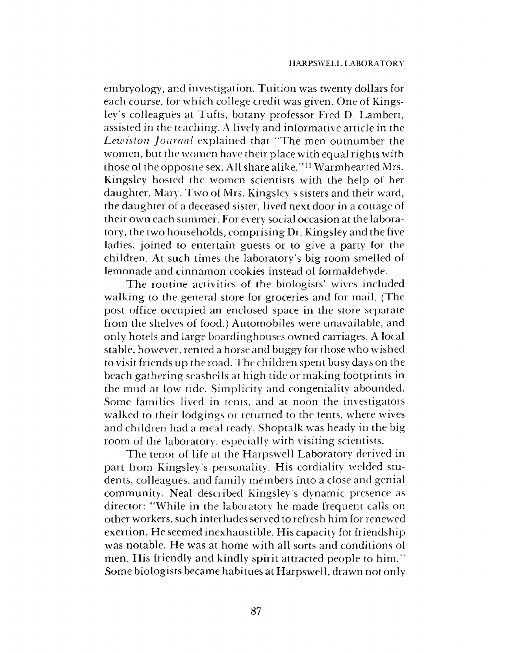embryology, and investigation. Tuition was twenty dollars for each course, for which college credit was given. One of Kingsley's colleagues at Tufts, botany professor Fred D. Lambert, assisted in the teaching. A lively and informative article in the *Leunston Journal* explained that "The men outnumber the women, but the women have their place with equal rights with those of the opposite sex. All share alike." 11 Warmhearted Mrs. Kingsley hosted the women scientists with the help of her daughter, Mary. Two of Mrs. Kingsley's sisters and their ward, the daughter of a deceased sister, lived next door in a cottage of their own each summer. For every social occasion at the laboratory, the two households, com prising Dr. Kingsley and the five ladies, joined to entertain guests or to give a party for the children. At such times the laboratory's big room smelled of lemonade and cinnamon cookies instead of formaldehyde.

The routine activities of the biologists' wives included walking to the general store for groceries and for mail. (The post office occupied an enclosed space in the store separate from the shelves of food.) Automobiles were unavailable, and only hotels and large boardinghouses owned carriages. A local stable, however, rented a horse and buggy for those who wished to visit friends up the road. The children spent busy days on the beach gathering seashells at high tide or making footprints in the mud at low tide. Simplicity and congeniality abounded. Some families lived in tents, and at noon the investigators walked to their lodgings or returned to the tents, where wives and children had a meal ready. Shoptalk was heady in the big room of the laboratory, especially with visiting scientists.

The tenor of life at the Harpswell Laboratory derived in part from Kingsley's personality. His cordiality welded students, colleagues, and family members into a close and genial community. Neal described Kingsley s dynamic presence as director: "While in the laboratory he made frequent calls on other workers, such interludes served to refresh him for renewed exertion. He seemed inexhaustible. His capacity for friendship was notable. He was at home with all sorts and conditions of men. His friendly and kindly spirit attracted people to him." Some biologists became habitues at Harpswell, drawn not only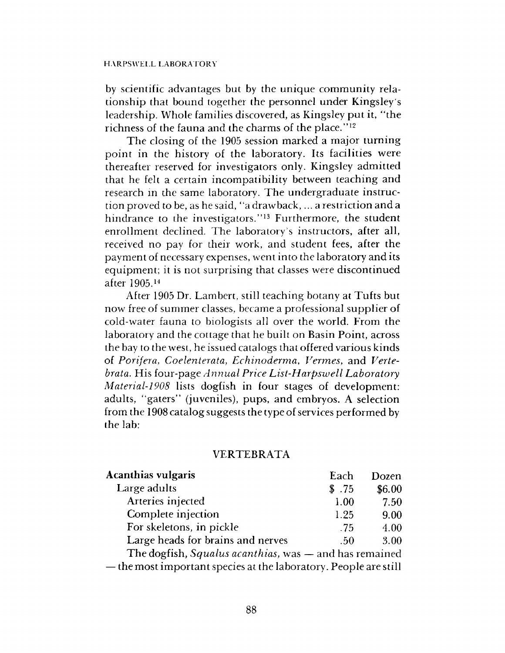by scientific advantages but by the unique community relationship that bound together the personnel under Kingsley's leadership. Whole families discovered, as Kingsley put it, "the richness of the fauna and the charms of the place." 12

The closing of the 1905 session marked a major turning point in the history of the laboratory. Its facilities were thereafter reserved for investigators only. Kingsley admitted that he felt a certain incompatibility between teaching and research in the same laboratory. The undergraduate instruction proved to be, as he said, "a draw back,... a restriction and a hindrance to the investigators."<sup>13</sup> Furthermore, the student enrollment declined. The laboratory's instructors, after all, received no pay for their work, and student fees, after the payment of necessary expenses, went into the laboratory and its equipment; it is not surprising that classes were discontinued after 1905.14

After 1905 Dr. Lambert, still teaching botany at Tufts but now free of summer classes, became a professional supplier of cold-water fauna to biologists all over the world. From the laboratory and the cottage that he built on Basin Point, across the bay to the west, he issued catalogs that offered various kinds of *Porifera*, *Coelenterata, Echinoderma*, *Vermes,* and *Vertebrata.* His four-page *Annual Price List-Harpswell Laboratory Material-1908* lists dogfish in four stages of development: adults, "gaters" (juveniles), pups, and embryos. A selection from the 1908 catalog suggests the type of services performed by the lab:

## VERTEBRATA

| <b>Acanthias vulgaris</b>                                        | Each  | Dozen  |
|------------------------------------------------------------------|-------|--------|
| Large adults                                                     | \$.75 | \$6.00 |
| Arteries injected                                                | 1.00  | 7.50   |
| Complete injection                                               | 1.25  | 9.00   |
| For skeletons, in pickle                                         | .75   | 4.00   |
| Large heads for brains and nerves                                | .50   | 3.00   |
| The dogfish, Squalus acanthias, was - and has remained           |       |        |
| — the most important species at the laboratory. People are still |       |        |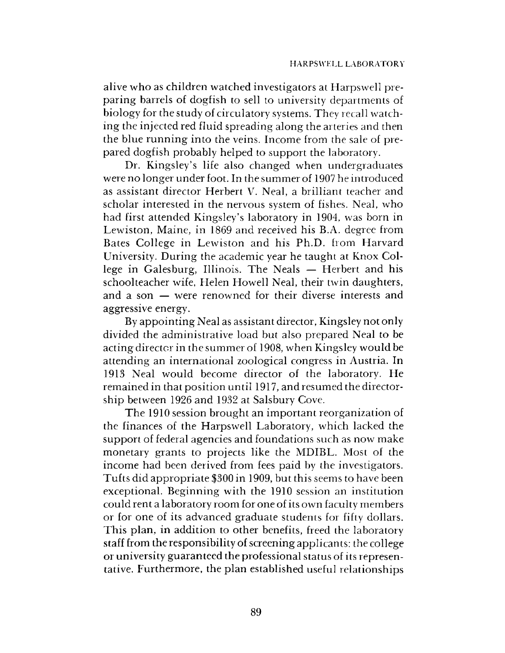alive who as children watched investigators at Harpswell preparing barrels of dogfish to sell to university departments of biology for the study of circulatory systems. They recall watching the injected red fluid spreading along the arteries and then the blue running into the veins. Income from the sale of prepared dogfish probably helped to support the laboratory.

Dr. Kingsley's life also changed when undergraduates were no longer under foot. In the summer of 1907 he introduced as assistant director Herbert V. Neal, a brilliant teacher and scholar interested in the nervous system of fishes. Neal, who had first attended Kingsley's laboratory in 1904, was born in Lewiston, Maine, in 1869 and received his B.A. degree from Bates College in Lewiston and his Ph.D. from Harvard University. During the academic year he taught at Knox College in Galesburg, Illinois. The Neals — Herbert and his schoolteacher wife, Helen Howell Neal, their twin daughters, and a son — were renowned for their diverse interests and aggressive energy.

By appointing Neal as assistant director, Kingsley not only divided the administrative load but also prepared Neal to be acting director in the summer of 1908, when Kingsley would be attending an international zoological congress in Austria. In 1913 Neal would become director of the laboratory. He remained in that position until 1917, and resumed the directorship between 1926 and 1932 at Salsbury Cove.

The 1910 session brought an important reorganization of the finances of the Harpswell Laboratory, which lacked the support of federal agencies and foundations such as now make monetary grants to projects like the MDIBL. Most of the income had been derived from fees paid by the investigators. Tufts did appropriate \$300 in 1909, but this seems to have been exceptional. Beginning with the 1910 session an institution could rent a laboratory room for one of its own faculty members or for one of its advanced graduate students for fifty dollars. This plan, in addition to other benefits, freed the laboratory staff from the responsibility of screening applicants: the college or university guaranteed the professional status of its representative. Furthermore, the plan established useful relationships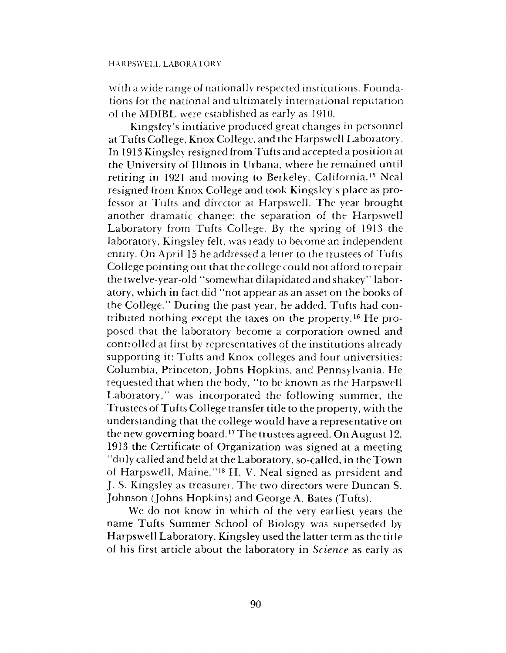with a wide range of nationally respected institutions. Foundations for the national and ultimately international reputation of the MDIBL were established as early as 1910.

Kingsley's initiative produced great changes in personnel at Tufts College, Knox College, and the Harpswell Laboratory. In 1913 Kingsley resigned from Tufts and accepted a position at the University of Illinois in Urbana, where he remained until retiring in 1921 and moving to Berkeley, California.15 Neal resigned from Knox College and took Kingsley s place as professor at Tufts and director at Harpswell. The year brought another dramatic change: the separation of the Harpswell Laboratory from Tufts College. By the spring of 1913 the laboratory, Kingsley felt, was ready to become an independent entity. On April 15 he addressed a letter to the trustees of Tufts College pointing out that the college could not afford to repair the twelve-year-old "somewhat dilapidated and shakey" laboratory, which in fact did "not appear as an asset on the books of the College." During the past year, he added, Tufts had contributed nothing except the taxes on the property.16 He proposed that the laboratory become a corporation owned and controlled at first by representatives of the institutions already supporting it: Tufts and Knox colleges and four universities: Columbia, Princeton, Johns Hopkins, and Pennsylvania. He requested that when the body, "to be known as the Harpswell Laboratory," was incorporated the following summer, the Trustees of Tufts College transfer title to the property, with the understanding that the college would have a representative on the new governing board.17 The trustees agreed. On August 12, 1913 the Certificate of Organization was signed at a meeting "duly called and held at the Laboratory, so-called, in theTow n of Harpswell, Maine."<sup>18</sup> H. V. Neal signed as president and J. S. Kingsley as treasurer. The two directors were Duncan S. Johnson (Johns Hopkins) and George A. Bates (Tufts).

We do not know in which of the very earliest years the name Tufts Summer School of Biology was superseded by Harpswell Laboratory. Kingsley used the latter term as the title of his first article about the laboratory in *Science* as early as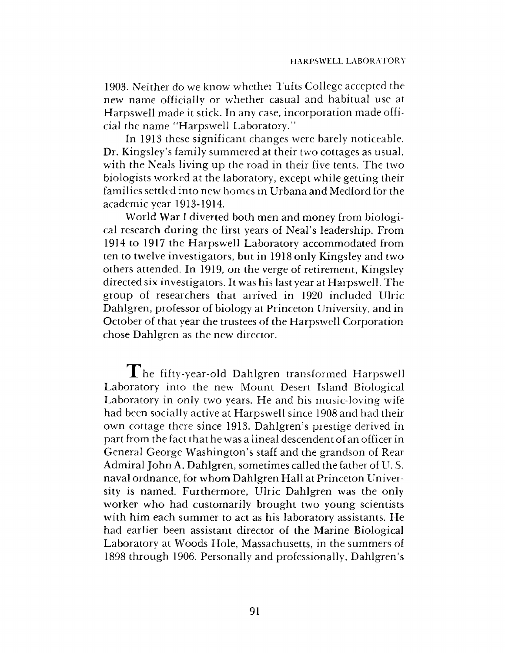1903. Neither do we know whether Tufts College accepted the new name officially or whether casual and habitual use at Harpswell made it stick. In any case, incorporation made official the name "Harpswell Laboratory."

In 1913 these significant changes were barely noticeable. Dr. Kingsley's family summered at their two cottages as usual, with the Neals living up the road in their five tents. The two biologists worked at the laboratory, except while getting their families settled into new homes in Urbana and Medford for the academic year 1913-1914.

World War I diverted both men and money from biological research during the first years of Neal's leadership. From 1914 to 1917 the Harpswell Laboratory accommodated from ten to twelve investigators, but in 1918 only Kingsley and two others attended. In 1919, on the verge of retirement, Kingsley directed six investigators. It was his last year at Harpswell. The group of researchers that arrived in 1920 included Ulric Dahlgren, professor of biology at Princeton University, and in October of that year the trustees of the Harpswell Corporation chose Dahlgren as the new director.

The fifty-year-old Dahlgren transformed Harpswell Laboratory into the new Mount Desert Island Biological Laboratory in only two years. He and his music-loving wife had been socially active at Harpswell since 1908 and had their own cottage there since 1913. Dahlgren's prestige derived in part from the fact that he was a lineal descendent of an officer in General George Washington's staff and the grandson of Rear Admiral John A. Dahlgren, sometimes called the father of U. S. naval ordnance, for whom Dahlgren Hall at Princeton University is named. Furthermore, Ulric Dahlgren was the only worker who had customarily brought two young scientists with him each summer to act as his laboratory assistants. He had earlier been assistant director of the Marine Biological Laboratory at Woods Hole, Massachusetts, in the summers of 1898 through 1906. Personally and professionally, Dahlgren's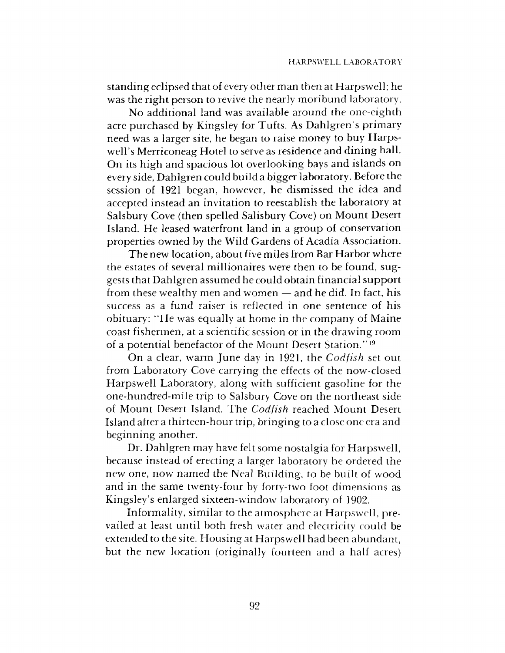standing eclipsed that of every other man then at Harpswell; he was the right person to revive the nearly moribund laboratory.

No additional land was available around the one-eighth acre purchased by Kingsley for Tufts. As Dahlgren's primary need was a larger site, he began to raise money to buy Harpswell's Merriconeag Hotel to serve as residence and dining hall. On its high and spacious lot overlooking bays and islands on every side, Dahlgren could build a bigger laboratory. Before the session of 1921 began, however, he dismissed the idea and accepted instead an invitation to reestablish the laboratory at Salsbury Cove (then spelled Salisbury Cove) on Mount Desert Island. He leased waterfront land in a group of conservation properties owned by the Wild Gardens of Acadia Association.

The new location, about five miles from Bar Harbor where the estates of several millionaires were then to be found, suggests that Dahlgren assumed he could obtain financial support from these wealthy men and women — and he did. In fact, his success as a fund raiser is reflected in one sentence of his obituary: "He was equally at home in the company of Maine coast fishermen, at a scientific session or in the drawing room of a potential benefactor of the Mount Desert Station." 19

On a clear, warm June day in 1921, the *Codfish* set out from Laboratory Cove carrying the effects of the now-closed Harpswell Laboratory, along with sufficient gasoline for the one-hundred-mile trip to Salsbury Cove on the northeast side of Mount Desert Island. The *Codfish* reached Mount Desert Island after a thirteen-hour trip, bringing to a close one era and beginning another.

Dr. Dahlgren may have felt some nostalgia for Harpswell, because instead of erecting a larger laboratory he ordered the new one, now named the Neal Building, to be built of wood and in the same twenty-four by forty-two foot dimensions as Kingsley's enlarged sixteen-window laboratory of 1902.

Informality, similar to the atmosphere at Harpswell, prevailed at least until both fresh water and electricity could be extended to the site. Housing at Harpswell had been abundant, but the new location (originally fourteen and a half acres)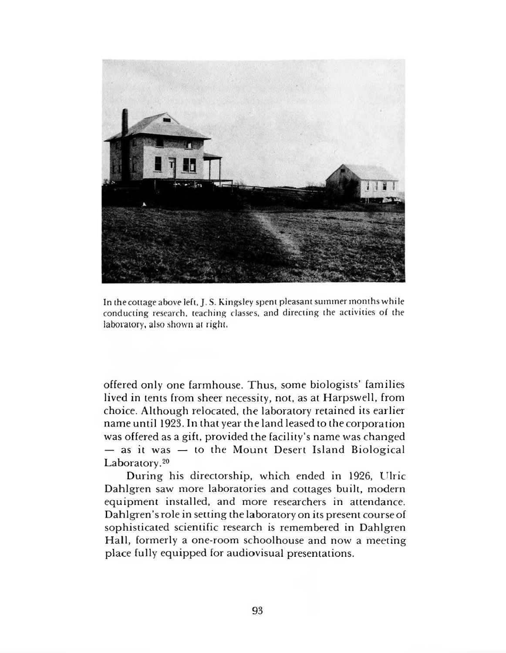

In the cottage above left, J. S. Kingsley spent pleasant summer months while conducting research, teaching classes, and directing the activities of the laboratory, also shown at right.

offered only one farmhouse. Thus, some biologists' families lived in tents from sheer necessity, not, as at Harpswell, from choice. Although relocated, the laboratory retained its earlier name until 1923. In that year the land leased to the corporation was offered as a gift, provided the facility's name was changed  $-$  as it was  $-$  to the Mount Desert Island Biological Laboratory.<sup>20</sup>

During his directorship, which ended in 1926, Ulric Dahlgren saw more laboratories and cottages built, modern equipment installed, and more researchers in attendance. Dahlgren's role in setting the laboratory on its present course of sophisticated scientific research is remembered in Dahlgren Hall, formerly a one-room schoolhouse and now a meeting place fully equipped for audiovisual presentations.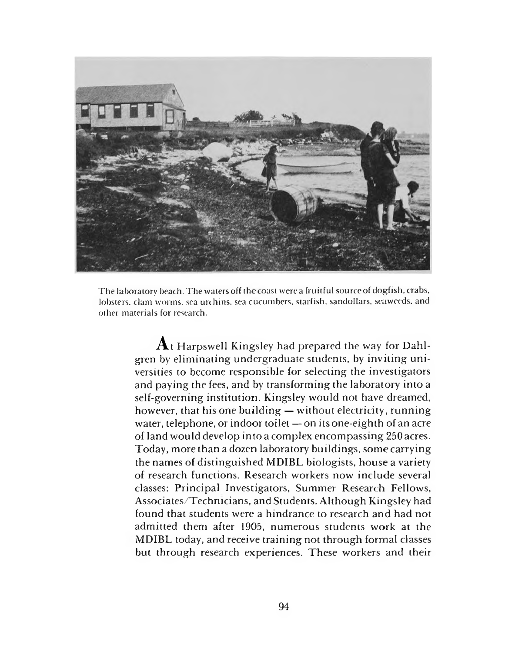

The laboratory beach. The waters off the coast were a fruitful source of dogfish, crabs, lobsters, clam worms, sea urchins, sea cucumbers, starfish, sandollars, seaweeds, and other materials for research.

> $\mathbf A$ <sub>t</sub> Harpswell Kingsley had prepared the way for Dahlgren by eliminating undergraduate students, by inviting universities to become responsible for selecting the investigators and paying the fees, and by transforming the laboratory into a self-governing institution. Kingsley would not have dreamed, however, that his one building — without electricity, running water, telephone, or indoor toilet — on its one-eighth of an acre of land would develop into a complex encompassing 250 acres. Today, more than a dozen laboratory buildings, some carrying the names of distinguished MDIBL biologists, house a variety of research functions. Research workers now include several classes: Principal Investigators, Summer Research Fellows, Associates/Technicians, and Students. Although Kingsley had found that students were a hindrance to research and had not admitted them after 1905, numerous students work at the MDIBL today, and receive training not through formal classes but through research experiences. These workers and their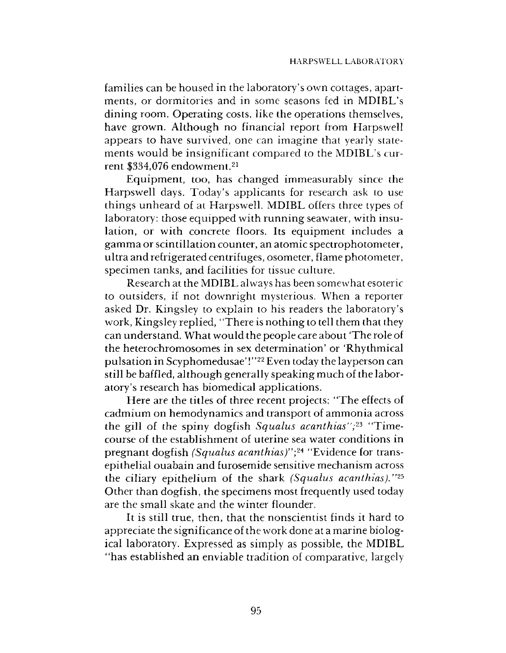families can be housed in the laboratory's own cottages, apartments, or dormitories and in some seasons fed in MDIBL's dining room. Operating costs, like the operations themselves, have grown. Although no financial report from Harpswell appears to have survived, one can imagine that yearly statements would be insignificant compared to the MDIBL's current \$334,076 endowment.<sup>21</sup>

Equipm ent, too, has changed immeasurably since the Harpswell days. Today's applicants for research ask to use things unheard of at Harpswell. MDIBL offers three types of laboratory: those equipped with running seawater, with insulation, or with concrete floors. Its equipment includes a gamma or scintillation counter, an atomic spectrophotometer, ultra and refrigerated centrifuges, osometer, flame photometer, specimen tanks, and facilities for tissue culture.

Research at the MDIBL always has been somewhat esoteric to outsiders, if not downright mysterious. When a reporter asked Dr. Kingsley to explain to his readers the laboratory's work, Kingsley replied, "There is nothing to tell them that they can understand. W hat would the people care about 'The role of the heterochromosomes in sex determination' or 'Rhythmical pulsation in Scyphomedusae' !"22 Even today the layperson can still be baffled, although generally speaking much of the laboratory's research has biomedical applications.

Here are the titles of three recent projects: "The effects of cadmium on hemodynamics and transport of ammonia across the gill of the spiny dogfish *Squalus acanthias";23* "Timecourse of the establishment of uterine sea water conditions in pregnant dogfish *(Squalus acanthias)"\24* "Evidence for transepithelial ouabain and furosemide sensitive mechanism across the ciliary epithelium of the shark *(Squalus acanthias)."25* Other than dogfish, the specimens most frequently used today are the small skate and the winter flounder.

It is still true, then, that the nonscientist finds it hard to appreciate the significance of the work done at a marine biological laboratory. Expressed as simply as possible, the MDIBL "has established an enviable tradition of comparative, largely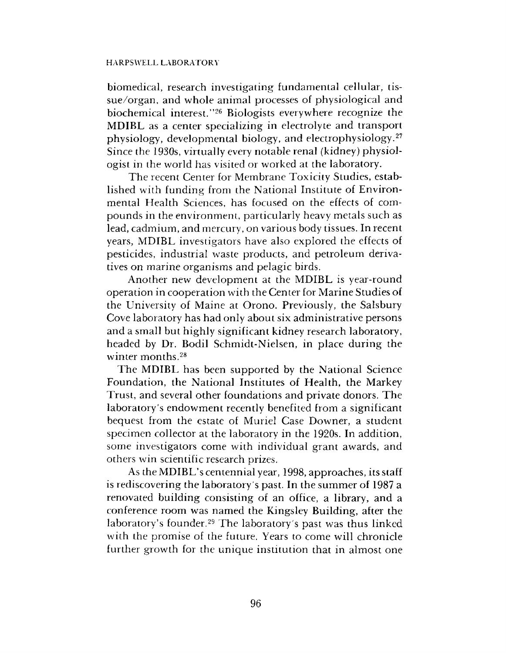#### HARPSWELL LABORATORY

biomedical, research investigating fundamental cellular, tissue/organ, and whole animal processes of physiological and biochemical interest."26 Biologists everywhere recognize the MDIBL as a center specializing in electrolyte and transport physiology, developmental biology, and electrophysiology.27 Since the 1930s, virtually every notable renal (kidney) physiologist in the world has visited or worked at the laboratory.

The recent Center for Membrane Toxicity Studies, established with funding from the National Institute of Environmental Health Sciences, has focused on the effects of compounds in the environment, particularly heavy metals such as lead, cadmium, and mercury, on various body tissues. In recent years, MDIBL investigators have also explored the effects of pesticides, industrial waste products, and petroleum derivatives on marine organisms and pelagic birds.

Another new development at the MDIBL is year-round operation in cooperation with the Center for Marine Studies of the University of Maine at Orono. Previously, the Salsbury Cove laboratory has had only about six administrative persons and a small but highly significant kidney research laboratory, headed by Dr. Bodil Schmidt-Nielsen, in place during the winter months.28

The MDIBL has been supported by the National Science Foundation, the National Institutes of Health, the Markey Trust, and several other foundations and private donors. The laboratory's endowment recently benefited from a significant bequest from the estate of Muriel Case Downer, a student specimen collector at the laboratory in the 1920s. In addition, some investigators come with individual grant awards, and others win scientific research prizes.

As the MDIBL's centennial year, 1998, approaches, its staff is rediscovering the laboratory 's past. In the summer of 1987 a renovated building consisting of an office, a library, and a conference room was named the Kingsley Building, after the laboratory's founder.29 The laboratory's past was thus linked with the promise of the future. Years to come will chronicle further growth for the unique institution that in almost one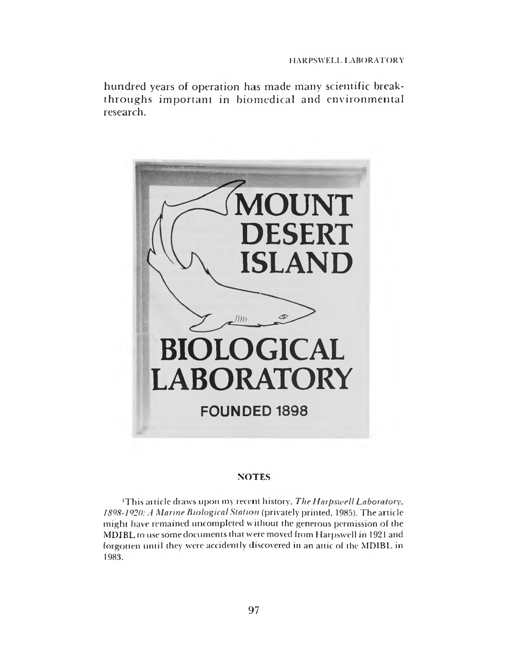hundred years of operation has made many scientific breakthroughs important in biomedical and environmental research.



### **NOTES**

•This article draws upon my recent history. *The Harpswell Laboratory, 1898-1920: A Marine Biological Station* (privately printed, 1985). The article might have remained uncompleted without the generous permission of the MDIBL to use some documents that were moved from Harpswell in 1921 and forgotten until they were accidently discovered in an attic of the MDIBL in 1983.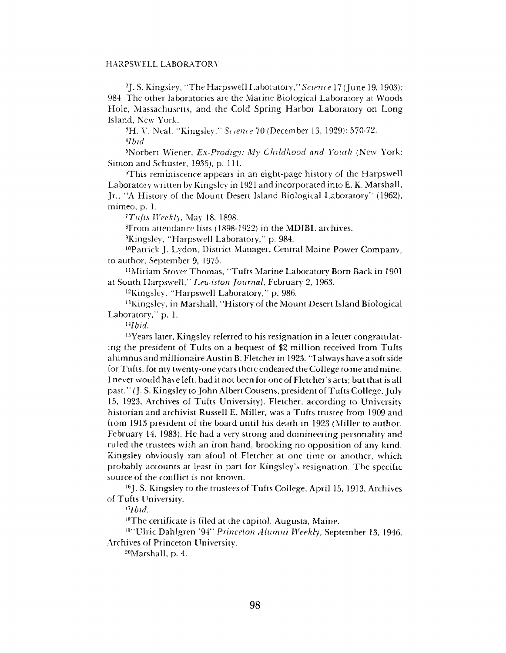#### HARPSWELL LABORATORY

<sup>2</sup>J. S. Kingsley, "The Harpswell Laboratory," Science 17 (June 19, 1903): 984. The other laboratories are the Marine Biological Laboratory at Woods Hole, Massachusetts, and the Cold Spring Harbor Laboratory on Long Island, New York.

3H. V. Neal, "Kingsley," *Science* 70 (December 13, 1929): 570-72. *Albid.*

3Norbert Wiener, *Ex-Prodigy: My Childhood and Youth* (New York: Simon and Schuster, 1935), p. 111.

6This reminiscence appears in an eight-page history of the Harpswell Laboratory written by Kingsley in 1921 and incorporated into E. K. Marshall, Jr., "A History of the Mount Desert Island Biological Laboratory" (1962), mimeo, p. 1.

*7 Tufts Weekly,* May 18, 1898.

8From attendance lists (1898-1922) in the MDIBL archives.

9Kingsley, "Harpswell Laboratory," p. 984.

10Patrick J. Lydon, District Manager, Central Maine Power Company, to author, September 9, 1975.

nMiriam Stover Thomas, "Tufts Marine Laboratory Born Back in 1901 at South Harpswell," *Lewiston Journal,* February 2, 1963.

12Kingsley, "Harpswell Laboratory," p. 986.

<sup>13</sup>Kingsley, in Marshall, "History of the Mount Desert Island Biological Laboratory," p. 1.

*uIbid.*

15Years later, Kingsley referred to his resignation in a letter congratulating the president of Tufts on a bequest of \$2 million received from Tufts alumnus and millionaire Austin B. Fletcher in 1923. "I always have a soft side for Tufts, for my twenty-one years there endeared the College to me and mine. I never would have left, had it not been for one of Fletcher's acts; but that is all past." (J. S. Kingsley to John Albert Cousens, president of Tufts College, July 15, 1923, Archives of Tufts University). Fletcher, according to University historian and archivist Russell E. Miller, was a Tufts trustee from 1909 and from 1913 president of the board until his death in 1923 (Miller to author, February 14, 1983). He had a very strong and domineering personality and ruled the trustees with an iron hand, brooking no opposition of any kind. Kingsley obviously ran afoul of Fletcher at one time or another, which probably accounts at least in part for Kingsley's resignation. The specific source of the conflict is not known.

16J. S. Kingsley to the trustees of Tufts College, April 15, 1913, Archives of Tufts University.

17*Ibid*.

18The certificate is filed at the capitol, Augusta, Maine.

19"LTlric Dahlgren '94" *Princeton Alumni Weekly*, September 13, 1946, Archives of Princeton University.

20Marshall, p. 4.